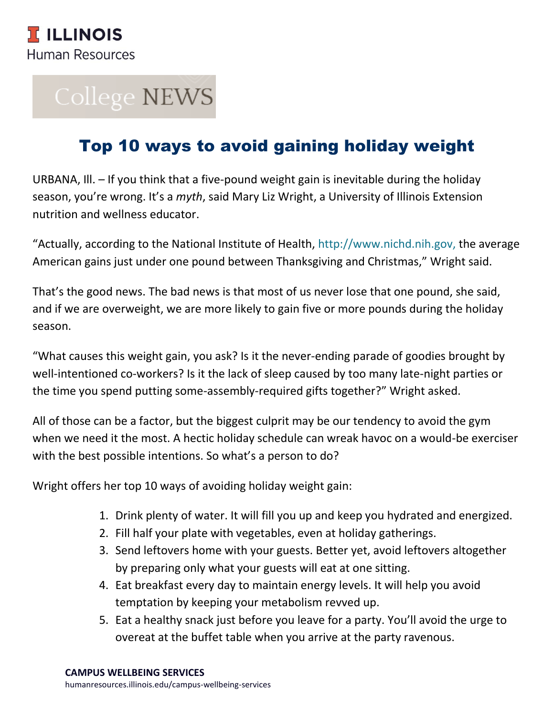# College NEWS

# Top 10 ways to avoid gaining holiday weight

URBANA, Ill. – If you think that a five-pound weight gain is inevitable during the holiday season, you're wrong. It's a *myth*, said Mary Liz Wright, a University of Illinois Extension nutrition and wellness educator.

"Actually, according to the National Institute of Health, [http://www.nichd.nih.gov,](http://www.nichd.nih.gov/) the average American gains just under one pound between Thanksgiving and Christmas," Wright said.

That's the good news. The bad news is that most of us never lose that one pound, she said, and if we are overweight, we are more likely to gain five or more pounds during the holiday season.

"What causes this weight gain, you ask? Is it the never-ending parade of goodies brought by well-intentioned co-workers? Is it the lack of sleep caused by too many late-night parties or the time you spend putting some-assembly-required gifts together?" Wright asked.

All of those can be a factor, but the biggest culprit may be our tendency to avoid the gym when we need it the most. A hectic holiday schedule can wreak havoc on a would-be exerciser with the best possible intentions. So what's a person to do?

Wright offers her top 10 ways of avoiding holiday weight gain:

- 1. Drink plenty of water. It will fill you up and keep you hydrated and energized.
- 2. Fill half your plate with vegetables, even at holiday gatherings.
- 3. Send leftovers home with your guests. Better yet, avoid leftovers altogether by preparing only what your guests will eat at one sitting.
- 4. Eat breakfast every day to maintain energy levels. It will help you avoid temptation by keeping your metabolism revved up.
- 5. Eat a healthy snack just before you leave for a party. You'll avoid the urge to overeat at the buffet table when you arrive at the party ravenous.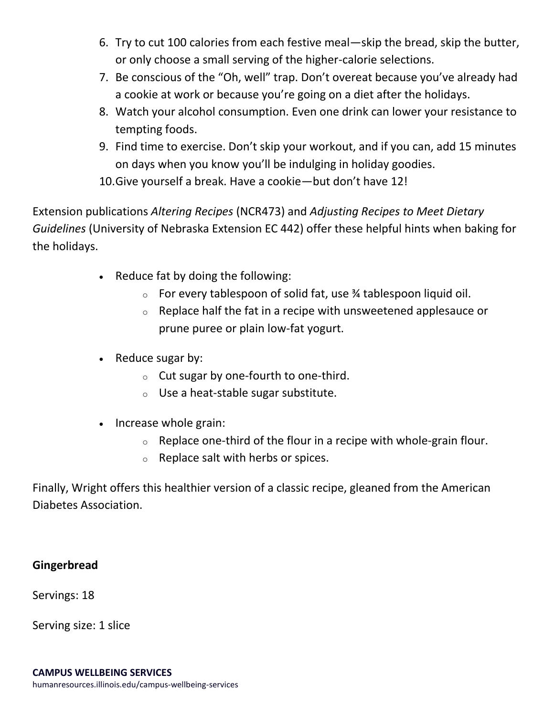- 6. Try to cut 100 calories from each festive meal—skip the bread, skip the butter, or only choose a small serving of the higher-calorie selections.
- 7. Be conscious of the "Oh, well" trap. Don't overeat because you've already had a cookie at work or because you're going on a diet after the holidays.
- 8. Watch your alcohol consumption. Even one drink can lower your resistance to tempting foods.
- 9. Find time to exercise. Don't skip your workout, and if you can, add 15 minutes on days when you know you'll be indulging in holiday goodies. 10.Give yourself a break. Have a cookie—but don't have 12!

Extension publications *Altering Recipes* (NCR473) and *Adjusting Recipes to Meet Dietary* 

*Guidelines* (University of Nebraska Extension EC 442) offer these helpful hints when baking for the holidays.

- Reduce fat by doing the following:
	- $\circ$  For every tablespoon of solid fat, use  $\frac{3}{4}$  tablespoon liquid oil.
	- $\circ$  Replace half the fat in a recipe with unsweetened applesauce or prune puree or plain low-fat yogurt.
- $\bullet$  Reduce sugar by:
	- o Cut sugar by one-fourth to one-third.
	- o Use a heat-stable sugar substitute.
- Increase whole grain:
	- $\circ$  Replace one-third of the flour in a recipe with whole-grain flour.
	- o Replace salt with herbs or spices.

Finally, Wright offers this healthier version of a classic recipe, gleaned from the American Diabetes Association.

#### **Gingerbread**

Servings: 18

Serving size: 1 slice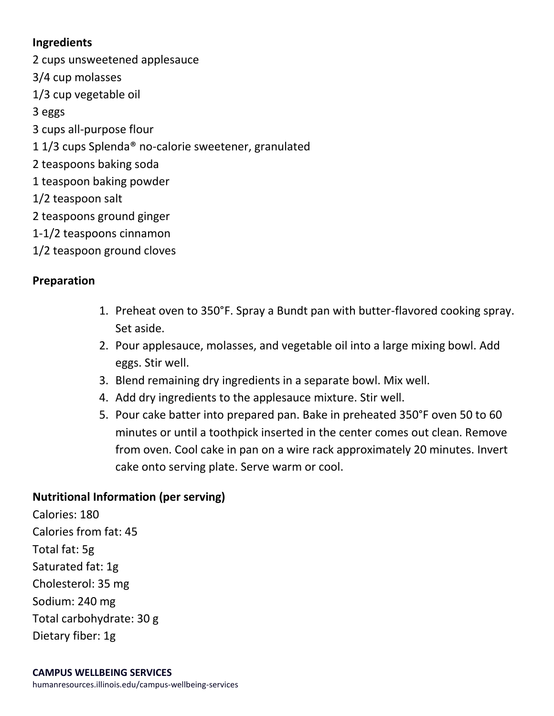#### **Ingredients**

2 cups unsweetened applesauce 3/4 cup molasses 1/3 cup vegetable oil 3 eggs 3 cups all-purpose flour 1 1/3 cups Splenda® no-calorie sweetener, granulated 2 teaspoons baking soda 1 teaspoon baking powder 1/2 teaspoon salt 2 teaspoons ground ginger 1-1/2 teaspoons cinnamon 1/2 teaspoon ground cloves

## **Preparation**

- 1. Preheat oven to 350°F. Spray a Bundt pan with butter-flavored cooking spray. Set aside.
- 2. Pour applesauce, molasses, and vegetable oil into a large mixing bowl. Add eggs. Stir well.
- 3. Blend remaining dry ingredients in a separate bowl. Mix well.
- 4. Add dry ingredients to the applesauce mixture. Stir well.
- 5. Pour cake batter into prepared pan. Bake in preheated 350°F oven 50 to 60 minutes or until a toothpick inserted in the center comes out clean. Remove from oven. Cool cake in pan on a wire rack approximately 20 minutes. Invert cake onto serving plate. Serve warm or cool.

## **Nutritional Information (per serving)**

Calories: 180 Calories from fat: 45 Total fat: 5g Saturated fat: 1g Cholesterol: 35 mg Sodium: 240 mg Total carbohydrate: 30 g Dietary fiber: 1g

humanresources.illinois.edu/campus-wellbeing-services